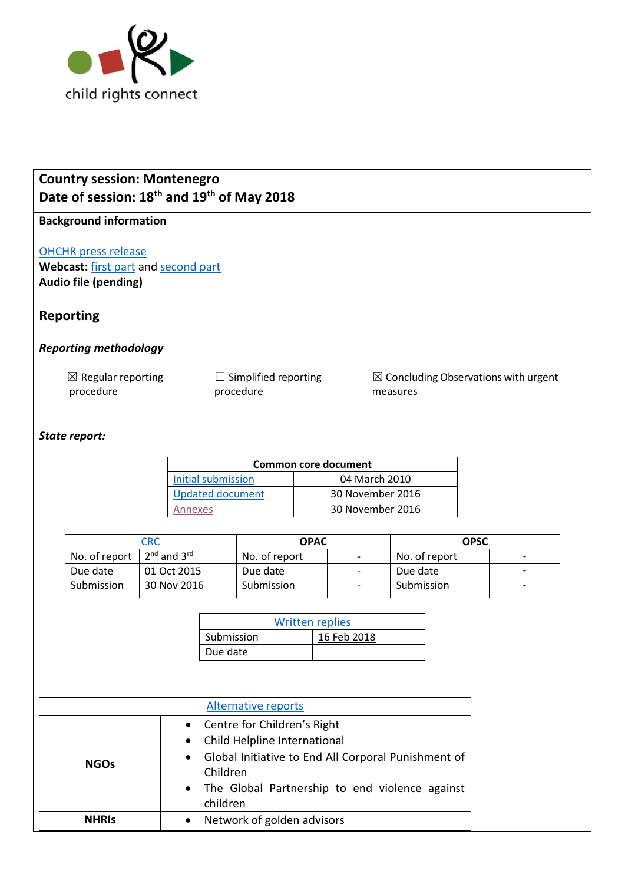

# **Country session: Montenegro Date of session: 18th and 19th of May 2018**

## **Background information**

[OHCHR press release](https://www.ohchr.org/EN/NewsEvents/Pages/DisplayNews.aspx?NewsID=23167&LangID=E)

Webcast: [first part](http://webtv.un.org/meetings-events/human-rights-treaty-bodies/committee-on-the-rights-of-the-child/watch/consideration-of-montenegro-2291st-meeting-78th-session-committee-on-the-rights-of-the-child/5787960995001) and [second part](http://webtv.un.org/meetings-events/human-rights-treaty-bodies/committee-on-the-rights-of-the-child/watch/consideration-of-montenegro-contd-2292nd-meeting-78th-session-committee-on-the-rights-of-the-child/5787961624001) **Audio file (pending)**

# **Reporting**

## *Reporting methodology*

| $\boxtimes$ Regular reporting | $\Box$ Simplified reporting |
|-------------------------------|-----------------------------|
| procedure                     | procedure                   |

☒ Concluding Observations with urgent measures

#### *State report:*

| <b>Common core document</b> |                  |  |
|-----------------------------|------------------|--|
| Initial submission          | 04 March 2010    |  |
| <b>Updated document</b>     | 30 November 2016 |  |
| Annexes                     | 30 November 2016 |  |

| $\mathsf{C}\mathsf{R}\mathsf{C}$ |                       | <b>OPAC</b>   |                          | <b>OPSC</b>   |                          |
|----------------------------------|-----------------------|---------------|--------------------------|---------------|--------------------------|
| No. of report                    | $2^{nd}$ and $3^{rd}$ | No. of report | $\overline{\phantom{0}}$ | No. of report | $\overline{\phantom{a}}$ |
| Due date                         | 01 Oct 2015           | Due date      | $\overline{\phantom{a}}$ | Due date      | -                        |
| Submission                       | 30 Nov 2016           | Submission    |                          | Submission    | $\overline{\phantom{a}}$ |

| <b>Written replies</b> |             |  |
|------------------------|-------------|--|
| Submission             | 16 Feb 2018 |  |
| Due date               |             |  |

| <b>Alternative reports</b> |                                                                                                                                                                                                      |  |
|----------------------------|------------------------------------------------------------------------------------------------------------------------------------------------------------------------------------------------------|--|
| <b>NGOs</b>                | • Centre for Children's Right<br>• Child Helpline International<br>• Global Initiative to End All Corporal Punishment of<br>Children<br>• The Global Partnership to end violence against<br>children |  |
| <b>NHRIS</b>               | Network of golden advisors                                                                                                                                                                           |  |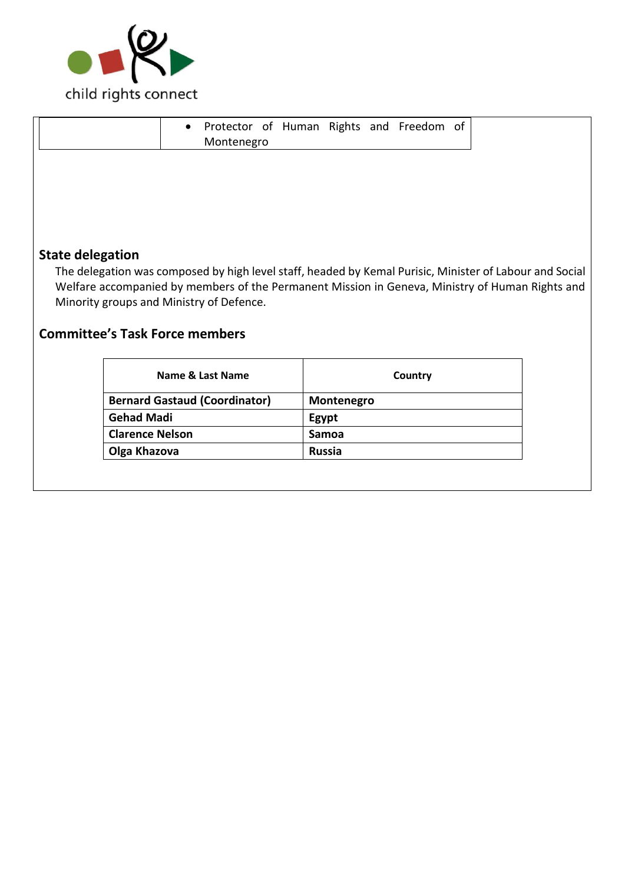

| Protector of Human Rights and Freedom of<br>$\bullet$<br>Montenegro                                                                                                                                                                                    |
|--------------------------------------------------------------------------------------------------------------------------------------------------------------------------------------------------------------------------------------------------------|
|                                                                                                                                                                                                                                                        |
|                                                                                                                                                                                                                                                        |
|                                                                                                                                                                                                                                                        |
| <b>State delegation</b>                                                                                                                                                                                                                                |
| The delegation was composed by high level staff, headed by Kemal Purisic, Minister of Labour and Social<br>Welfare accompanied by members of the Permanent Mission in Geneva, Ministry of Human Rights and<br>Minority groups and Ministry of Defence. |

# **Committee's Task Force members**

| Country       |
|---------------|
| Montenegro    |
| Egypt         |
| Samoa         |
| <b>Russia</b> |
|               |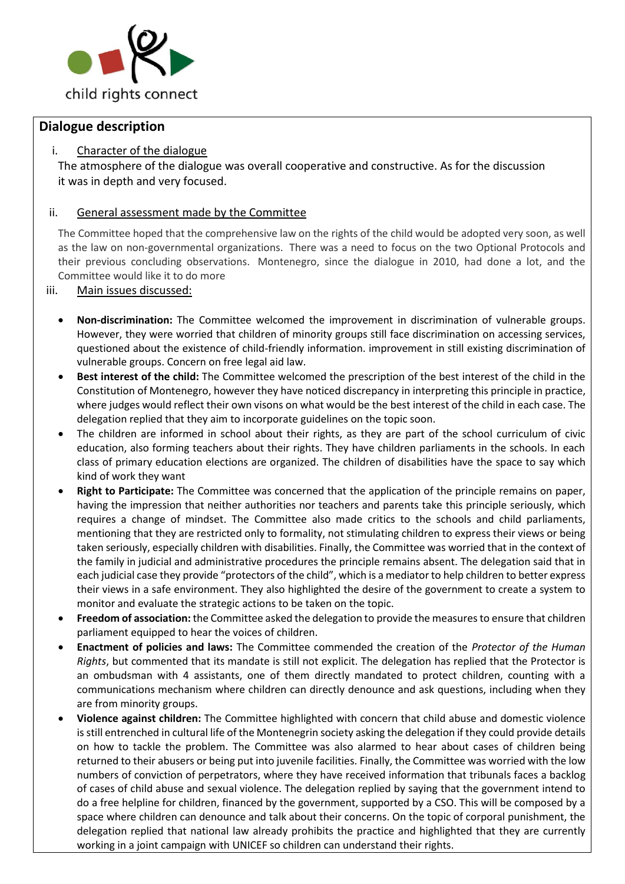

## **Dialogue description**

### i. Character of the dialogue

The atmosphere of the dialogue was overall cooperative and constructive. As for the discussion it was in depth and very focused.

#### ii. General assessment made by the Committee

The Committee hoped that the comprehensive law on the rights of the child would be adopted very soon, as well as the law on non-governmental organizations. There was a need to focus on the two Optional Protocols and their previous concluding observations. Montenegro, since the dialogue in 2010, had done a lot, and the Committee would like it to do more

#### iii. Main issues discussed:

- **Non-discrimination:** The Committee welcomed the improvement in discrimination of vulnerable groups. However, they were worried that children of minority groups still face discrimination on accessing services, questioned about the existence of child-friendly information. improvement in still existing discrimination of vulnerable groups. Concern on free legal aid law.
- **Best interest of the child:** The Committee welcomed the prescription of the best interest of the child in the Constitution of Montenegro, however they have noticed discrepancy in interpreting this principle in practice, where judges would reflect their own visons on what would be the best interest of the child in each case. The delegation replied that they aim to incorporate guidelines on the topic soon.
- The children are informed in school about their rights, as they are part of the school curriculum of civic education, also forming teachers about their rights. They have children parliaments in the schools. In each class of primary education elections are organized. The children of disabilities have the space to say which kind of work they want
- **Right to Participate:** The Committee was concerned that the application of the principle remains on paper, having the impression that neither authorities nor teachers and parents take this principle seriously, which requires a change of mindset. The Committee also made critics to the schools and child parliaments, mentioning that they are restricted only to formality, not stimulating children to express their views or being taken seriously, especially children with disabilities. Finally, the Committee was worried that in the context of the family in judicial and administrative procedures the principle remains absent. The delegation said that in each judicial case they provide "protectors of the child", which is a mediator to help children to better express their views in a safe environment. They also highlighted the desire of the government to create a system to monitor and evaluate the strategic actions to be taken on the topic.
- **Freedom of association:** the Committee asked the delegation to provide the measures to ensure that children parliament equipped to hear the voices of children.
- **Enactment of policies and laws:** The Committee commended the creation of the *Protector of the Human Rights*, but commented that its mandate is still not explicit. The delegation has replied that the Protector is an ombudsman with 4 assistants, one of them directly mandated to protect children, counting with a communications mechanism where children can directly denounce and ask questions, including when they are from minority groups.
- **Violence against children:** The Committee highlighted with concern that child abuse and domestic violence is still entrenched in cultural life of the Montenegrin society asking the delegation if they could provide details on how to tackle the problem. The Committee was also alarmed to hear about cases of children being returned to their abusers or being put into juvenile facilities. Finally, the Committee was worried with the low numbers of conviction of perpetrators, where they have received information that tribunals faces a backlog of cases of child abuse and sexual violence. The delegation replied by saying that the government intend to do a free helpline for children, financed by the government, supported by a CSO. This will be composed by a space where children can denounce and talk about their concerns. On the topic of corporal punishment, the delegation replied that national law already prohibits the practice and highlighted that they are currently working in a joint campaign with UNICEF so children can understand their rights.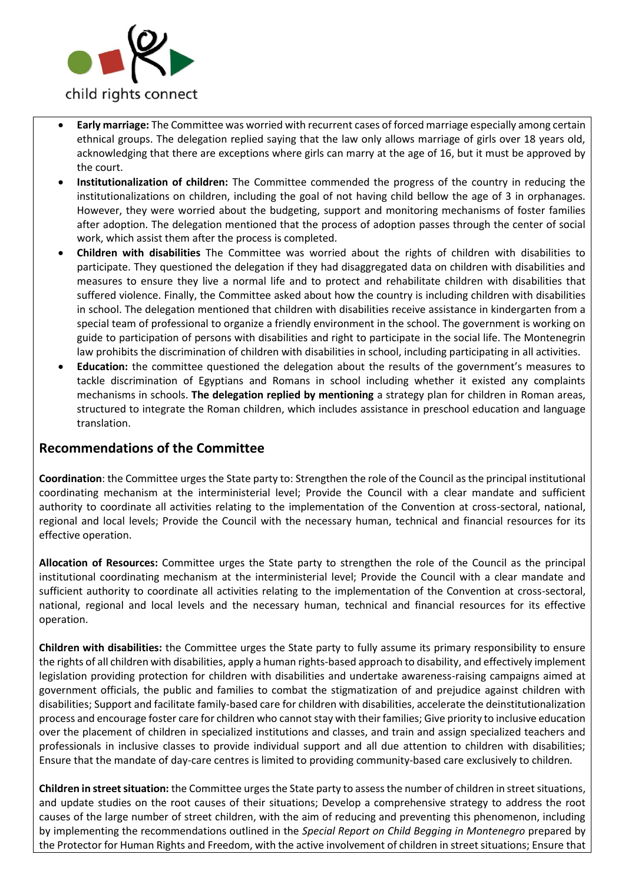

- **Early marriage:** The Committee was worried with recurrent cases of forced marriage especially among certain ethnical groups. The delegation replied saying that the law only allows marriage of girls over 18 years old, acknowledging that there are exceptions where girls can marry at the age of 16, but it must be approved by the court.
- **Institutionalization of children:** The Committee commended the progress of the country in reducing the institutionalizations on children, including the goal of not having child bellow the age of 3 in orphanages. However, they were worried about the budgeting, support and monitoring mechanisms of foster families after adoption. The delegation mentioned that the process of adoption passes through the center of social work, which assist them after the process is completed.
- **Children with disabilities** The Committee was worried about the rights of children with disabilities to participate. They questioned the delegation if they had disaggregated data on children with disabilities and measures to ensure they live a normal life and to protect and rehabilitate children with disabilities that suffered violence. Finally, the Committee asked about how the country is including children with disabilities in school. The delegation mentioned that children with disabilities receive assistance in kindergarten from a special team of professional to organize a friendly environment in the school. The government is working on guide to participation of persons with disabilities and right to participate in the social life. The Montenegrin law prohibits the discrimination of children with disabilities in school, including participating in all activities.
- **Education:** the committee questioned the delegation about the results of the government's measures to tackle discrimination of Egyptians and Romans in school including whether it existed any complaints mechanisms in schools. **The delegation replied by mentioning** a strategy plan for children in Roman areas, structured to integrate the Roman children, which includes assistance in preschool education and language translation.

## **Recommendations of the Committee**

**Coordination**: the Committee urges the State party to: Strengthen the role of the Council as the principal institutional coordinating mechanism at the interministerial level; Provide the Council with a clear mandate and sufficient authority to coordinate all activities relating to the implementation of the Convention at cross-sectoral, national, regional and local levels; Provide the Council with the necessary human, technical and financial resources for its effective operation.

**Allocation of Resources:** Committee urges the State party to strengthen the role of the Council as the principal institutional coordinating mechanism at the interministerial level; Provide the Council with a clear mandate and sufficient authority to coordinate all activities relating to the implementation of the Convention at cross-sectoral, national, regional and local levels and the necessary human, technical and financial resources for its effective operation.

**Children with disabilities:** the Committee urges the State party to fully assume its primary responsibility to ensure the rights of all children with disabilities, apply a human rights-based approach to disability, and effectively implement legislation providing protection for children with disabilities and undertake awareness-raising campaigns aimed at government officials, the public and families to combat the stigmatization of and prejudice against children with disabilities; Support and facilitate family-based care for children with disabilities, accelerate the deinstitutionalization process and encourage foster care for children who cannot stay with their families; Give priority to inclusive education over the placement of children in specialized institutions and classes, and train and assign specialized teachers and professionals in inclusive classes to provide individual support and all due attention to children with disabilities; Ensure that the mandate of day-care centres is limited to providing community-based care exclusively to children*.*

**Children in street situation:** the Committee urges the State party to assess the number of children in street situations, and update studies on the root causes of their situations; Develop a comprehensive strategy to address the root causes of the large number of street children, with the aim of reducing and preventing this phenomenon, including by implementing the recommendations outlined in the *Special Report on Child Begging in Montenegro* prepared by the Protector for Human Rights and Freedom, with the active involvement of children in street situations; Ensure that